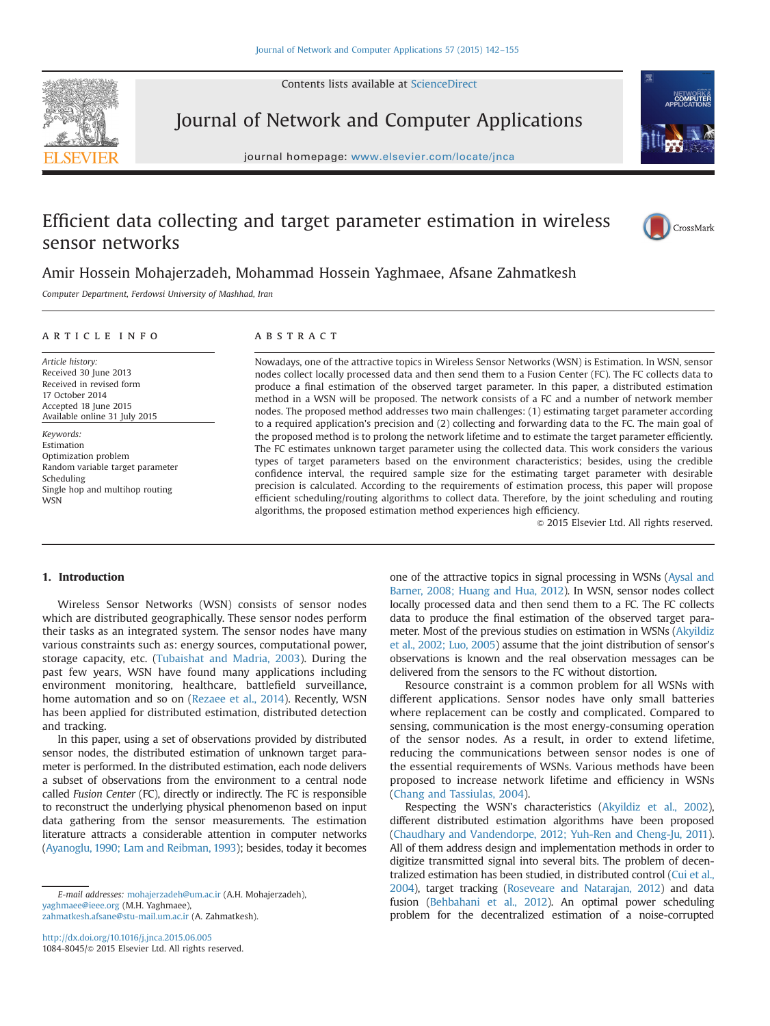Contents lists available at [ScienceDirect](www.sciencedirect.com/science/journal/10848045)



Journal of Network and Computer Applications

journal homepage: where  $j$ 



## Efficient data collecting and target parameter estimation in wireless sensor networks



### Amir Hossein Mohajerzadeh, Mohammad Hossein Yaghmaee, Afsane Zahmatkesh

Computer Department, Ferdowsi University of Mashhad, Iran

#### article info

Article history: Received 30 June 2013 Received in revised form 17 October 2014 Accepted 18 June 2015 Available online 31 July 2015

Keywords: Estimation Optimization problem Random variable target parameter Scheduling Single hop and multihop routing **WSN** 

#### ABSTRACT

Nowadays, one of the attractive topics in Wireless Sensor Networks (WSN) is Estimation. In WSN, sensor nodes collect locally processed data and then send them to a Fusion Center (FC). The FC collects data to produce a final estimation of the observed target parameter. In this paper, a distributed estimation method in a WSN will be proposed. The network consists of a FC and a number of network member nodes. The proposed method addresses two main challenges: (1) estimating target parameter according to a required application's precision and (2) collecting and forwarding data to the FC. The main goal of the proposed method is to prolong the network lifetime and to estimate the target parameter efficiently. The FC estimates unknown target parameter using the collected data. This work considers the various types of target parameters based on the environment characteristics; besides, using the credible confidence interval, the required sample size for the estimating target parameter with desirable precision is calculated. According to the requirements of estimation process, this paper will propose efficient scheduling/routing algorithms to collect data. Therefore, by the joint scheduling and routing algorithms, the proposed estimation method experiences high efficiency.

 $\odot$  2015 Elsevier Ltd. All rights reserved.

#### 1. Introduction

Wireless Sensor Networks (WSN) consists of sensor nodes which are distributed geographically. These sensor nodes perform their tasks as an integrated system. The sensor nodes have many various constraints such as: energy sources, computational power, storage capacity, etc. (Tubaishat and Madria, 2003). During the past few years, WSN have found many applications including environment monitoring, healthcare, battlefield surveillance, home automation and so on (Rezaee et al., 2014). Recently, WSN has been applied for distributed estimation, distributed detection and tracking.

In this paper, using a set of observations provided by distributed sensor nodes, the distributed estimation of unknown target parameter is performed. In the distributed estimation, each node delivers a subset of observations from the environment to a central node called Fusion Center (FC), directly or indirectly. The FC is responsible to reconstruct the underlying physical phenomenon based on input data gathering from the sensor measurements. The estimation literature attracts a considerable attention in computer networks (Ayanoglu, 1990; Lam and Reibman, 1993); besides, today it becomes

E-mail addresses: [mohajerzadeh@um.ac.ir](mailto:mohajerzadeh@um.ac.ir) (A.H. Mohajerzadeh), [yaghmaee@ieee.org](mailto:yaghmaee@ieee.org) (M.H. Yaghmaee),

[zahmatkesh.afsane@stu-mail.um.ac.ir](mailto:zahmatkesh.afsane@stu-mail.um.ac.ir) (A. Zahmatkesh).

<http://dx.doi.org/10.1016/j.jnca.2015.06.005> 1084-8045/& 2015 Elsevier Ltd. All rights reserved. one of the attractive topics in signal processing in WSNs (Aysal and Barner, 2008; Huang and Hua, 2012). In WSN, sensor nodes collect locally processed data and then send them to a FC. The FC collects data to produce the final estimation of the observed target parameter. Most of the previous studies on estimation in WSNs (Akyildiz et al., 2002; Luo, 2005) assume that the joint distribution of sensor's observations is known and the real observation messages can be delivered from the sensors to the FC without distortion.

Resource constraint is a common problem for all WSNs with different applications. Sensor nodes have only small batteries where replacement can be costly and complicated. Compared to sensing, communication is the most energy-consuming operation of the sensor nodes. As a result, in order to extend lifetime, reducing the communications between sensor nodes is one of the essential requirements of WSNs. Various methods have been proposed to increase network lifetime and efficiency in WSNs (Chang and Tassiulas, 2004).

Respecting the WSN's characteristics (Akyildiz et al., 2002), different distributed estimation algorithms have been proposed (Chaudhary and Vandendorpe, 2012; Yuh-Ren and Cheng-Ju, 2011). All of them address design and implementation methods in order to digitize transmitted signal into several bits. The problem of decentralized estimation has been studied, in distributed control (Cui et al., 2004), target tracking (Roseveare and Natarajan, 2012) and data fusion (Behbahani et al., 2012). An optimal power scheduling problem for the decentralized estimation of a noise-corrupted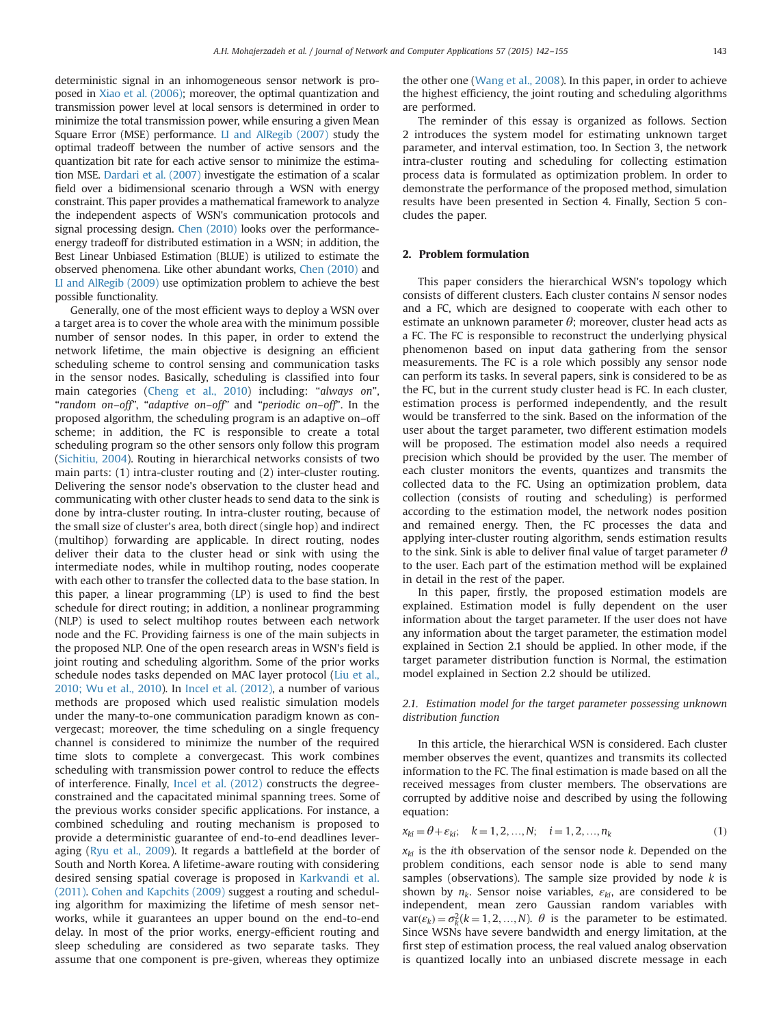deterministic signal in an inhomogeneous sensor network is proposed in Xiao et al. (2006); moreover, the optimal quantization and transmission power level at local sensors is determined in order to minimize the total transmission power, while ensuring a given Mean Square Error (MSE) performance. LI and AlRegib (2007) study the optimal tradeoff between the number of active sensors and the quantization bit rate for each active sensor to minimize the estimation MSE. Dardari et al. (2007) investigate the estimation of a scalar field over a bidimensional scenario through a WSN with energy constraint. This paper provides a mathematical framework to analyze the independent aspects of WSN's communication protocols and signal processing design. Chen (2010) looks over the performanceenergy tradeoff for distributed estimation in a WSN; in addition, the Best Linear Unbiased Estimation (BLUE) is utilized to estimate the observed phenomena. Like other abundant works, Chen (2010) and LI and AlRegib (2009) use optimization problem to achieve the best possible functionality.

Generally, one of the most efficient ways to deploy a WSN over a target area is to cover the whole area with the minimum possible number of sensor nodes. In this paper, in order to extend the network lifetime, the main objective is designing an efficient scheduling scheme to control sensing and communication tasks in the sensor nodes. Basically, scheduling is classified into four main categories (Cheng et al., 2010) including: "always on", "random on–off", "adaptive on–off" and "periodic on–off". In the proposed algorithm, the scheduling program is an adaptive on–off scheme; in addition, the FC is responsible to create a total scheduling program so the other sensors only follow this program (Sichitiu, 2004). Routing in hierarchical networks consists of two main parts: (1) intra-cluster routing and (2) inter-cluster routing. Delivering the sensor node's observation to the cluster head and communicating with other cluster heads to send data to the sink is done by intra-cluster routing. In intra-cluster routing, because of the small size of cluster's area, both direct (single hop) and indirect (multihop) forwarding are applicable. In direct routing, nodes deliver their data to the cluster head or sink with using the intermediate nodes, while in multihop routing, nodes cooperate with each other to transfer the collected data to the base station. In this paper, a linear programming (LP) is used to find the best schedule for direct routing; in addition, a nonlinear programming (NLP) is used to select multihop routes between each network node and the FC. Providing fairness is one of the main subjects in the proposed NLP. One of the open research areas in WSN's field is joint routing and scheduling algorithm. Some of the prior works schedule nodes tasks depended on MAC layer protocol (Liu et al., 2010; Wu et al., 2010). In Incel et al. (2012), a number of various methods are proposed which used realistic simulation models under the many-to-one communication paradigm known as convergecast; moreover, the time scheduling on a single frequency channel is considered to minimize the number of the required time slots to complete a convergecast. This work combines scheduling with transmission power control to reduce the effects of interference. Finally, Incel et al. (2012) constructs the degreeconstrained and the capacitated minimal spanning trees. Some of the previous works consider specific applications. For instance, a combined scheduling and routing mechanism is proposed to provide a deterministic guarantee of end-to-end deadlines leveraging (Ryu et al., 2009). It regards a battlefield at the border of South and North Korea. A lifetime-aware routing with considering desired sensing spatial coverage is proposed in Karkvandi et al. (2011). Cohen and Kapchits (2009) suggest a routing and scheduling algorithm for maximizing the lifetime of mesh sensor networks, while it guarantees an upper bound on the end-to-end delay. In most of the prior works, energy-efficient routing and sleep scheduling are considered as two separate tasks. They assume that one component is pre-given, whereas they optimize

the other one (Wang et al., 2008). In this paper, in order to achieve the highest efficiency, the joint routing and scheduling algorithms are performed.

The reminder of this essay is organized as follows. Section 2 introduces the system model for estimating unknown target parameter, and interval estimation, too. In Section 3, the network intra-cluster routing and scheduling for collecting estimation process data is formulated as optimization problem. In order to demonstrate the performance of the proposed method, simulation results have been presented in Section 4. Finally, Section 5 concludes the paper.

#### 2. Problem formulation

This paper considers the hierarchical WSN's topology which consists of different clusters. Each cluster contains N sensor nodes and a FC, which are designed to cooperate with each other to estimate an unknown parameter  $\theta$ ; moreover, cluster head acts as a FC. The FC is responsible to reconstruct the underlying physical phenomenon based on input data gathering from the sensor measurements. The FC is a role which possibly any sensor node can perform its tasks. In several papers, sink is considered to be as the FC, but in the current study cluster head is FC. In each cluster, estimation process is performed independently, and the result would be transferred to the sink. Based on the information of the user about the target parameter, two different estimation models will be proposed. The estimation model also needs a required precision which should be provided by the user. The member of each cluster monitors the events, quantizes and transmits the collected data to the FC. Using an optimization problem, data collection (consists of routing and scheduling) is performed according to the estimation model, the network nodes position and remained energy. Then, the FC processes the data and applying inter-cluster routing algorithm, sends estimation results to the sink. Sink is able to deliver final value of target parameter  $\theta$ to the user. Each part of the estimation method will be explained in detail in the rest of the paper.

In this paper, firstly, the proposed estimation models are explained. Estimation model is fully dependent on the user information about the target parameter. If the user does not have any information about the target parameter, the estimation model explained in Section 2.1 should be applied. In other mode, if the target parameter distribution function is Normal, the estimation model explained in Section 2.2 should be utilized.

#### 2.1. Estimation model for the target parameter possessing unknown distribution function

In this article, the hierarchical WSN is considered. Each cluster member observes the event, quantizes and transmits its collected information to the FC. The final estimation is made based on all the received messages from cluster members. The observations are corrupted by additive noise and described by using the following equation:

$$
x_{ki} = \theta + \varepsilon_{ki}; \quad k = 1, 2, ..., N; \quad i = 1, 2, ..., n_k
$$
 (1)

 $x_{ki}$  is the ith observation of the sensor node k. Depended on the problem conditions, each sensor node is able to send many samples (observations). The sample size provided by node  $k$  is shown by  $n_k$ . Sensor noise variables,  $\varepsilon_{ki}$ , are considered to be independent, mean zero Gaussian random variables with  $var(\varepsilon_k) = \sigma_k^2 (k = 1, 2, ..., N)$ .  $\theta$  is the parameter to be estimated.<br>Since WSNs have severe bandwidth and energy limitation at the Since WSNs have severe bandwidth and energy limitation, at the first step of estimation process, the real valued analog observation is quantized locally into an unbiased discrete message in each